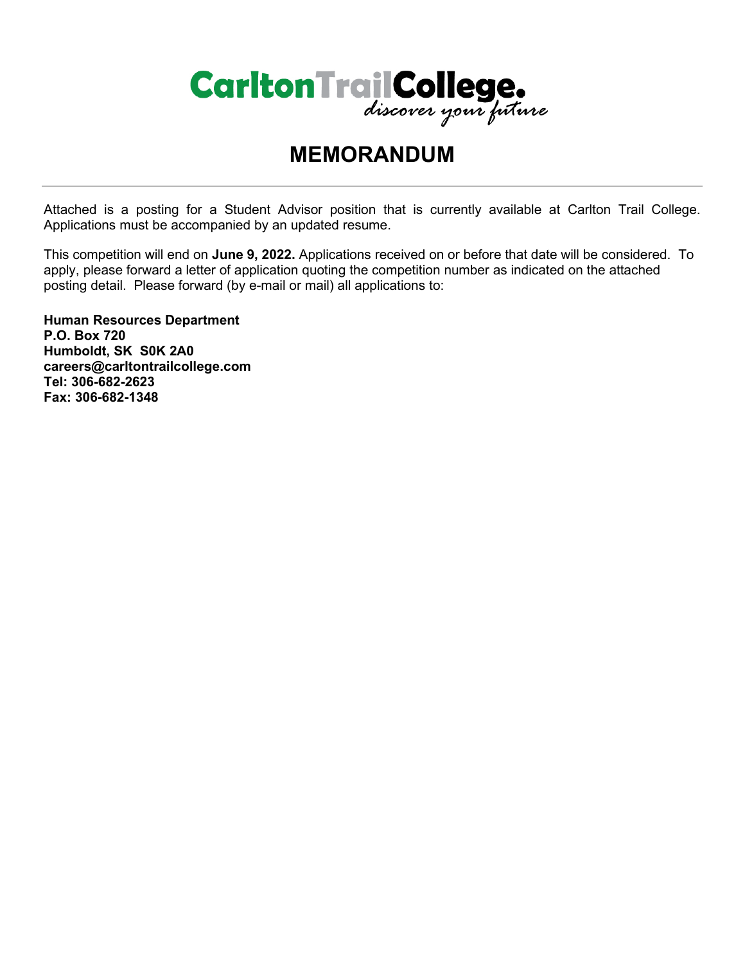

# **MEMORANDUM**

Attached is a posting for a Student Advisor position that is currently available at Carlton Trail College. Applications must be accompanied by an updated resume.

This competition will end on **June 9, 2022.** Applications received on or before that date will be considered. To apply, please forward a letter of application quoting the competition number as indicated on the attached posting detail. Please forward (by e-mail or mail) all applications to:

**Human Resources Department P.O. Box 720 Humboldt, SK S0K 2A0 careers@carltontrailcollege.com Tel: 306-682-2623 Fax: 306-682-1348**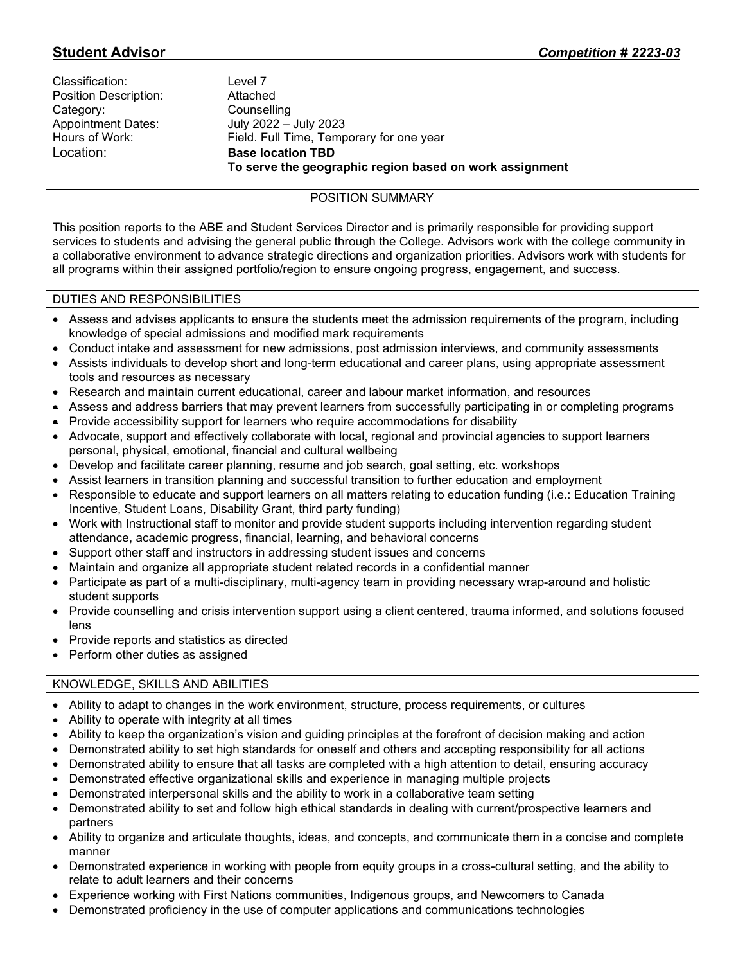| Classification:           |
|---------------------------|
| Position Description:     |
| Category:                 |
| <b>Appointment Dates:</b> |
| Hours of Work:            |
| Location:                 |

Level 7 Attached Counselling July 2022 – July 2023 Field. Full Time, Temporary for one year **Base location TBD To serve the geographic region based on work assignment**

# POSITION SUMMARY

This position reports to the ABE and Student Services Director and is primarily responsible for providing support services to students and advising the general public through the College. Advisors work with the college community in a collaborative environment to advance strategic directions and organization priorities. Advisors work with students for all programs within their assigned portfolio/region to ensure ongoing progress, engagement, and success.

## DUTIES AND RESPONSIBILITIES

- Assess and advises applicants to ensure the students meet the admission requirements of the program, including knowledge of special admissions and modified mark requirements
- Conduct intake and assessment for new admissions, post admission interviews, and community assessments
- Assists individuals to develop short and long-term educational and career plans, using appropriate assessment tools and resources as necessary
- Research and maintain current educational, career and labour market information, and resources
- Assess and address barriers that may prevent learners from successfully participating in or completing programs
- Provide accessibility support for learners who require accommodations for disability
- Advocate, support and effectively collaborate with local, regional and provincial agencies to support learners personal, physical, emotional, financial and cultural wellbeing
- Develop and facilitate career planning, resume and job search, goal setting, etc. workshops
- Assist learners in transition planning and successful transition to further education and employment
- Responsible to educate and support learners on all matters relating to education funding (i.e.: Education Training Incentive, Student Loans, Disability Grant, third party funding)
- Work with Instructional staff to monitor and provide student supports including intervention regarding student attendance, academic progress, financial, learning, and behavioral concerns
- Support other staff and instructors in addressing student issues and concerns
- Maintain and organize all appropriate student related records in a confidential manner
- Participate as part of a multi-disciplinary, multi-agency team in providing necessary wrap-around and holistic student supports
- Provide counselling and crisis intervention support using a client centered, trauma informed, and solutions focused lens
- Provide reports and statistics as directed
- Perform other duties as assigned

## KNOWLEDGE, SKILLS AND ABILITIES

- Ability to adapt to changes in the work environment, structure, process requirements, or cultures
- Ability to operate with integrity at all times
- Ability to keep the organization's vision and guiding principles at the forefront of decision making and action
- Demonstrated ability to set high standards for oneself and others and accepting responsibility for all actions
- Demonstrated ability to ensure that all tasks are completed with a high attention to detail, ensuring accuracy
- Demonstrated effective organizational skills and experience in managing multiple projects
- Demonstrated interpersonal skills and the ability to work in a collaborative team setting
- Demonstrated ability to set and follow high ethical standards in dealing with current/prospective learners and partners
- Ability to organize and articulate thoughts, ideas, and concepts, and communicate them in a concise and complete manner
- Demonstrated experience in working with people from equity groups in a cross-cultural setting, and the ability to relate to adult learners and their concerns
- Experience working with First Nations communities, Indigenous groups, and Newcomers to Canada
- Demonstrated proficiency in the use of computer applications and communications technologies